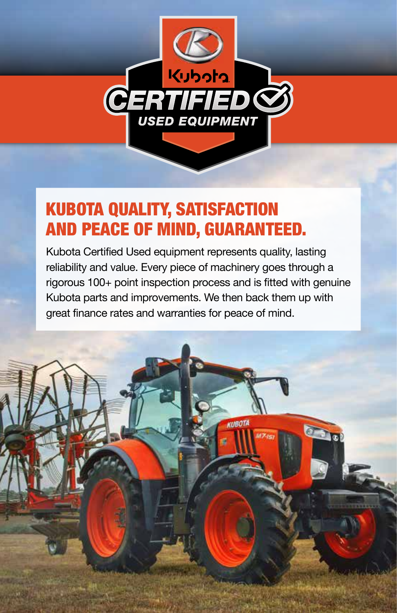

## KUBOTA QUALITY, SATISFACTION AND PEACE OF MIND, GUARANTEED.

Kubota Certified Used equipment represents quality, lasting reliability and value. Every piece of machinery goes through a rigorous 100+ point inspection process and is fitted with genuine Kubota parts and improvements. We then back them up with great finance rates and warranties for peace of mind.